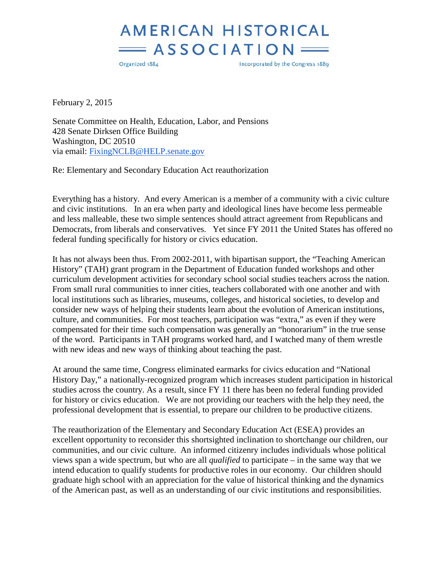## **AMERICAN HISTORICAL**  $=$  ASSOCIATION

Organized 1884

Incorporated by the Congress 1889

February 2, 2015

Senate Committee on Health, Education, Labor, and Pensions 428 Senate Dirksen Office Building Washington, DC 20510 via email: [FixingNCLB@HELP.senate.gov](mailto:FixingNCLB@HELP.senate.gov)

Re: Elementary and Secondary Education Act reauthorization

Everything has a history. And every American is a member of a community with a civic culture and civic institutions. In an era when party and ideological lines have become less permeable and less malleable, these two simple sentences should attract agreement from Republicans and Democrats, from liberals and conservatives. Yet since FY 2011 the United States has offered no federal funding specifically for history or civics education.

It has not always been thus. From 2002-2011, with bipartisan support, the "Teaching American History" (TAH) grant program in the Department of Education funded workshops and other curriculum development activities for secondary school social studies teachers across the nation. From small rural communities to inner cities, teachers collaborated with one another and with local institutions such as libraries, museums, colleges, and historical societies, to develop and consider new ways of helping their students learn about the evolution of American institutions, culture, and communities. For most teachers, participation was "extra," as even if they were compensated for their time such compensation was generally an "honorarium" in the true sense of the word. Participants in TAH programs worked hard, and I watched many of them wrestle with new ideas and new ways of thinking about teaching the past.

At around the same time, Congress eliminated earmarks for civics education and "National History Day," a nationally-recognized program which increases student participation in historical studies across the country. As a result, since FY 11 there has been no federal funding provided for history or civics education. We are not providing our teachers with the help they need, the professional development that is essential, to prepare our children to be productive citizens.

The reauthorization of the Elementary and Secondary Education Act (ESEA) provides an excellent opportunity to reconsider this shortsighted inclination to shortchange our children, our communities, and our civic culture. An informed citizenry includes individuals whose political views span a wide spectrum, but who are all *qualified* to participate – in the same way that we intend education to qualify students for productive roles in our economy. Our children should graduate high school with an appreciation for the value of historical thinking and the dynamics of the American past, as well as an understanding of our civic institutions and responsibilities.